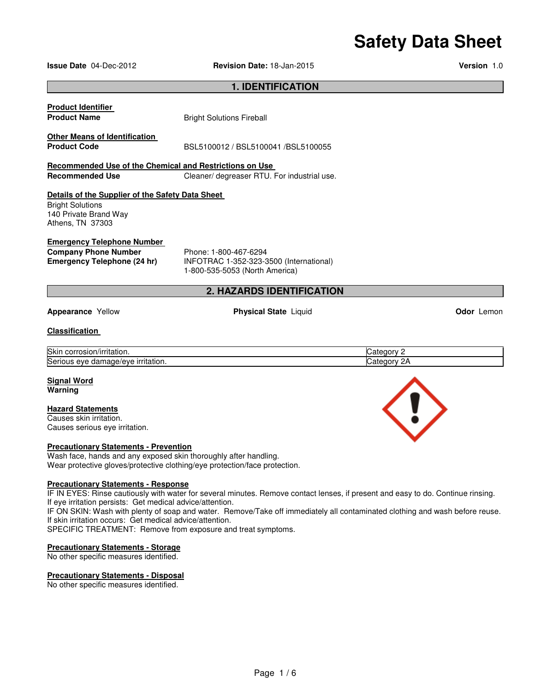# **Safety Data Sheet**

**Issue Date** 04-Dec-2012 **Revision Date:** 18-Jan-2015 **Version** 1.0

| <b>1. IDENTIFICATION</b>                                                                                                 |                                                                                                    |             |            |  |  |
|--------------------------------------------------------------------------------------------------------------------------|----------------------------------------------------------------------------------------------------|-------------|------------|--|--|
| <b>Product Identifier</b>                                                                                                |                                                                                                    |             |            |  |  |
| <b>Product Name</b>                                                                                                      | <b>Bright Solutions Fireball</b>                                                                   |             |            |  |  |
| Other Means of Identification                                                                                            |                                                                                                    |             |            |  |  |
| <b>Product Code</b>                                                                                                      | BSL5100012 / BSL5100041 /BSL5100055                                                                |             |            |  |  |
| Recommended Use of the Chemical and Restrictions on Use                                                                  |                                                                                                    |             |            |  |  |
| <b>Recommended Use</b>                                                                                                   | Cleaner/ degreaser RTU. For industrial use.                                                        |             |            |  |  |
| Details of the Supplier of the Safety Data Sheet<br><b>Bright Solutions</b><br>140 Private Brand Way<br>Athens, TN 37303 |                                                                                                    |             |            |  |  |
| <b>Emergency Telephone Number</b><br><b>Company Phone Number</b><br><b>Emergency Telephone (24 hr)</b>                   | Phone: 1-800-467-6294<br>INFOTRAC 1-352-323-3500 (International)<br>1-800-535-5053 (North America) |             |            |  |  |
|                                                                                                                          | <b>2. HAZARDS IDENTIFICATION</b>                                                                   |             |            |  |  |
| <b>Appearance Yellow</b>                                                                                                 | <b>Physical State Liquid</b>                                                                       |             | Odor Lemon |  |  |
| <b>Classification</b>                                                                                                    |                                                                                                    |             |            |  |  |
| Skin corrosion/irritation.                                                                                               |                                                                                                    | Category 2  |            |  |  |
| Serious eye damage/eye irritation.                                                                                       |                                                                                                    | Category 2A |            |  |  |
| <b>Signal Word</b><br>Warning                                                                                            |                                                                                                    |             |            |  |  |
| <b>Hazard Statements</b>                                                                                                 |                                                                                                    |             |            |  |  |
| Causes skin irritation.<br>Causes serious eye irritation.                                                                |                                                                                                    |             |            |  |  |

#### **Precautionary Statements - Prevention**

Wash face, hands and any exposed skin thoroughly after handling. Wear protective gloves/protective clothing/eye protection/face protection.

#### **Precautionary Statements - Response**

IF IN EYES: Rinse cautiously with water for several minutes. Remove contact lenses, if present and easy to do. Continue rinsing. If eye irritation persists: Get medical advice/attention.

IF ON SKIN: Wash with plenty of soap and water. Remove/Take off immediately all contaminated clothing and wash before reuse. If skin irritation occurs: Get medical advice/attention.

SPECIFIC TREATMENT: Remove from exposure and treat symptoms.

#### **Precautionary Statements - Storage**

No other specific measures identified.

#### **Precautionary Statements - Disposal**

No other specific measures identified.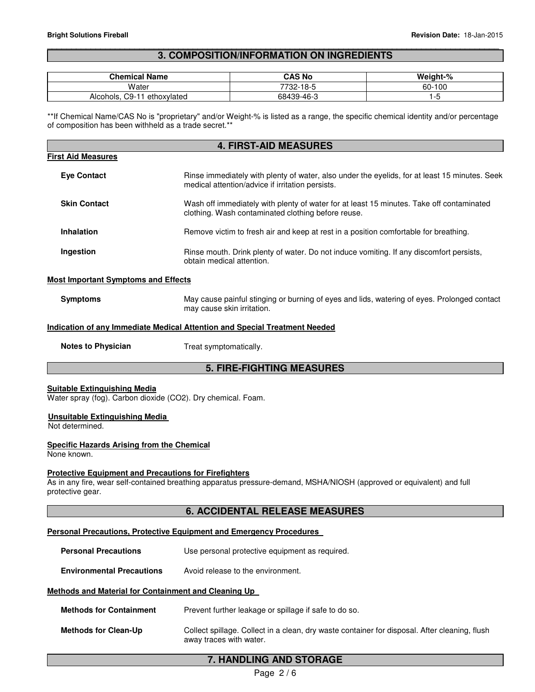#### \_\_\_\_\_\_\_\_\_\_\_\_\_\_\_\_\_\_\_\_\_\_\_\_\_\_\_\_\_\_\_\_\_\_\_\_\_\_\_\_\_\_\_\_\_\_\_\_\_\_\_\_\_\_\_\_\_\_\_\_\_\_\_\_\_\_\_\_\_\_\_\_\_\_\_\_\_\_\_\_\_\_\_\_\_\_\_\_\_\_\_\_\_ **3. COMPOSITION/INFORMATION ON INGREDIENTS**

| <b>Chemical Name</b>              | CAS No     | Weight-% |
|-----------------------------------|------------|----------|
| Water                             | 7732-18-5  | 60-100   |
| C9-11<br>ethoxylated<br>Alcohols, | 68439-46-3 |          |

\*\*If Chemical Name/CAS No is "proprietary" and/or Weight-% is listed as a range, the specific chemical identity and/or percentage of composition has been withheld as a trade secret.\*\*

| <b>4. FIRST-AID MEASURES</b>                                                                        |                                                                                                                                                   |  |  |
|-----------------------------------------------------------------------------------------------------|---------------------------------------------------------------------------------------------------------------------------------------------------|--|--|
| <b>First Aid Measures</b>                                                                           |                                                                                                                                                   |  |  |
| <b>Eve Contact</b>                                                                                  | Rinse immediately with plenty of water, also under the eyelids, for at least 15 minutes. Seek<br>medical attention/advice if irritation persists. |  |  |
| <b>Skin Contact</b>                                                                                 | Wash off immediately with plenty of water for at least 15 minutes. Take off contaminated<br>clothing. Wash contaminated clothing before reuse.    |  |  |
| <b>Inhalation</b>                                                                                   | Remove victim to fresh air and keep at rest in a position comfortable for breathing.                                                              |  |  |
| Ingestion                                                                                           | Rinse mouth. Drink plenty of water. Do not induce vomiting. If any discomfort persists,<br>obtain medical attention.                              |  |  |
| <b>Most Important Symptoms and Effects</b>                                                          |                                                                                                                                                   |  |  |
| Symptoms                                                                                            | May cause painful stinging or burning of eyes and lids, watering of eyes. Prolonged contact<br>may cause skin irritation.                         |  |  |
| <b>Indication of any Immediate Medical Attention and Special Treatment Needed</b>                   |                                                                                                                                                   |  |  |
| <b>Notes to Physician</b>                                                                           | Treat symptomatically.                                                                                                                            |  |  |
| <b>5. FIRE-FIGHTING MEASURES</b>                                                                    |                                                                                                                                                   |  |  |
| <b>Suitable Extinguishing Media</b><br>Water spray (fog). Carbon dioxide (CO2). Dry chemical. Foam. |                                                                                                                                                   |  |  |

### **Unsuitable Extinguishing Media**

Not determined.

#### **Specific Hazards Arising from the Chemical**

None known.

#### **Protective Equipment and Precautions for Firefighters**

As in any fire, wear self-contained breathing apparatus pressure-demand, MSHA/NIOSH (approved or equivalent) and full protective gear.

#### **6. ACCIDENTAL RELEASE MEASURES**

#### **Personal Precautions, Protective Equipment and Emergency Procedures**

**Personal Precautions Use personal protective equipment as required.** 

**Environmental Precautions** Avoid release to the environment.

#### **Methods and Material for Containment and Cleaning Up**

- **Methods for Containment** Prevent further leakage or spillage if safe to do so.
- **Methods for Clean-Up** Collect spillage. Collect in a clean, dry waste container for disposal. After cleaning, flush away traces with water.

### **7. HANDLING AND STORAGE**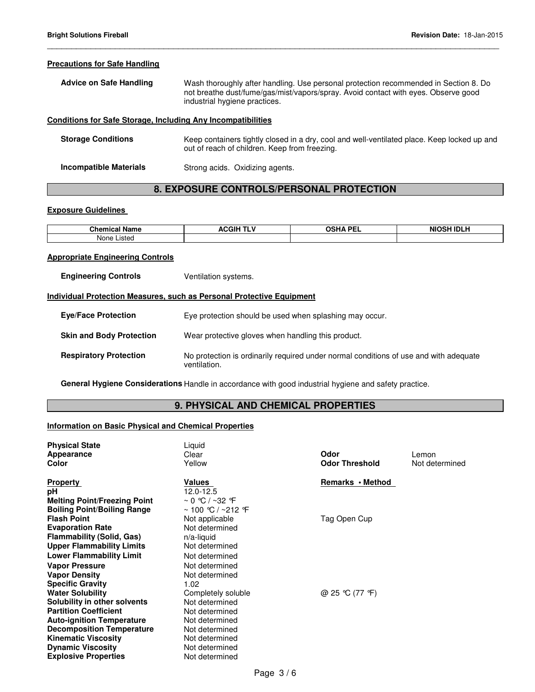#### **Precautions for Safe Handling**

| <b>Advice on Safe Handling</b> | Wash thoroughly after handling. Use personal protection recommended in Section 8. Do |
|--------------------------------|--------------------------------------------------------------------------------------|
|                                | not breathe dust/fume/gas/mist/vapors/spray. Avoid contact with eyes. Observe good   |
|                                | industrial hygiene practices.                                                        |

\_\_\_\_\_\_\_\_\_\_\_\_\_\_\_\_\_\_\_\_\_\_\_\_\_\_\_\_\_\_\_\_\_\_\_\_\_\_\_\_\_\_\_\_\_\_\_\_\_\_\_\_\_\_\_\_\_\_\_\_\_\_\_\_\_\_\_\_\_\_\_\_\_\_\_\_\_\_\_\_\_\_\_\_\_\_\_\_\_\_\_\_\_

#### **Conditions for Safe Storage, Including Any Incompatibilities**

| <b>Storage Conditions</b> | Keep containers tightly closed in a dry, cool and well-ventilated place. Keep locked up and<br>out of reach of children. Keep from freezing. |
|---------------------------|----------------------------------------------------------------------------------------------------------------------------------------------|
| Incompatible Materials    | Strong acids. Oxidizing agents.                                                                                                              |

## **8. EXPOSURE CONTROLS/PERSONAL PROTECTION**

### **Exposure Guidelines**

| <b>Ohemi</b><br>- -- -<br>. .<br><b>MA</b><br>name<br>91 I I I | .<br>20011<br>^`<br>ااتار<br>- 12<br>. . | <b>OSHA PFI</b><br>-- | ΝK<br>. |
|----------------------------------------------------------------|------------------------------------------|-----------------------|---------|
| None<br>∟ıstec                                                 |                                          |                       |         |

#### **Appropriate Engineering Controls**

| <b>Engineering Controls</b> | Ventilation systems. |
|-----------------------------|----------------------|
|-----------------------------|----------------------|

#### **Individual Protection Measures, such as Personal Protective Equipment**

| <b>Eve/Face Protection</b>      | Eye protection should be used when splashing may occur.                                               |
|---------------------------------|-------------------------------------------------------------------------------------------------------|
| <b>Skin and Body Protection</b> | Wear protective gloves when handling this product.                                                    |
| <b>Respiratory Protection</b>   | No protection is ordinarily required under normal conditions of use and with adequate<br>ventilation. |

**General Hygiene Considerations** Handle in accordance with good industrial hygiene and safety practice.

### **9. PHYSICAL AND CHEMICAL PROPERTIES**

#### **Information on Basic Physical and Chemical Properties**

| <b>Physical State</b><br>Appearance<br>Color | Liquid<br>Clear<br>Yellow | Odor<br><b>Odor Threshold</b> | Lemon<br>Not determined |
|----------------------------------------------|---------------------------|-------------------------------|-------------------------|
| <b>Property</b>                              | Values                    | Remarks • Method              |                         |
| рH                                           | 12.0-12.5                 |                               |                         |
| <b>Melting Point/Freezing Point</b>          | $\sim$ 0 °C / ~32 °F      |                               |                         |
| <b>Boiling Point/Boiling Range</b>           | ~ 100 ℃ / ~212 ℉          |                               |                         |
| <b>Flash Point</b>                           | Not applicable            | Tag Open Cup                  |                         |
| <b>Evaporation Rate</b>                      | Not determined            |                               |                         |
| <b>Flammability (Solid, Gas)</b>             | $n/a$ -liquid             |                               |                         |
| <b>Upper Flammability Limits</b>             | Not determined            |                               |                         |
| <b>Lower Flammability Limit</b>              | Not determined            |                               |                         |
| <b>Vapor Pressure</b>                        | Not determined            |                               |                         |
| <b>Vapor Density</b>                         | Not determined            |                               |                         |
| <b>Specific Gravity</b>                      | 1.02                      |                               |                         |
| <b>Water Solubility</b>                      | Completely soluble        | @ 25 °C (77 °F)               |                         |
| Solubility in other solvents                 | Not determined            |                               |                         |
| <b>Partition Coefficient</b>                 | Not determined            |                               |                         |
| <b>Auto-ignition Temperature</b>             | Not determined            |                               |                         |
| <b>Decomposition Temperature</b>             | Not determined            |                               |                         |
| <b>Kinematic Viscosity</b>                   | Not determined            |                               |                         |
| <b>Dynamic Viscosity</b>                     | Not determined            |                               |                         |
| <b>Explosive Properties</b>                  | Not determined            |                               |                         |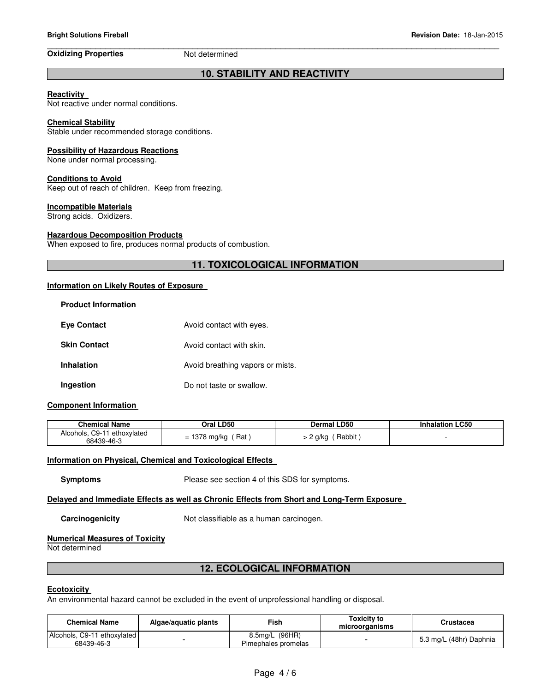#### \_\_\_\_\_\_\_\_\_\_\_\_\_\_\_\_\_\_\_\_\_\_\_\_\_\_\_\_\_\_\_\_\_\_\_\_\_\_\_\_\_\_\_\_\_\_\_\_\_\_\_\_\_\_\_\_\_\_\_\_\_\_\_\_\_\_\_\_\_\_\_\_\_\_\_\_\_\_\_\_\_\_\_\_\_\_\_\_\_\_\_\_\_ **Oxidizing Properties** Not determined

### **10. STABILITY AND REACTIVITY**

#### **Reactivity**

Not reactive under normal conditions.

#### **Chemical Stability**

Stable under recommended storage conditions.

#### **Possibility of Hazardous Reactions**

None under normal processing.

#### **Conditions to Avoid**

Keep out of reach of children. Keep from freezing.

#### **Incompatible Materials**

Strong acids. Oxidizers.

#### **Hazardous Decomposition Products**

When exposed to fire, produces normal products of combustion.

### **11. TOXICOLOGICAL INFORMATION**

#### **Information on Likely Routes of Exposure**

| <b>Product Information</b> |                                  |
|----------------------------|----------------------------------|
| <b>Eye Contact</b>         | Avoid contact with eyes.         |
| <b>Skin Contact</b>        | Avoid contact with skin.         |
| <b>Inhalation</b>          | Avoid breathing vapors or mists. |
| Ingestion                  | Do not taste or swallow.         |

#### **Component Information**

| <b>Chemical Name</b>        | Oral LD50      | <b>Dermal LD50</b> | <b>Inhalation LC50</b> |
|-----------------------------|----------------|--------------------|------------------------|
| Alcohols, C9-11 ethoxylated | $= 1378$ mg/kg | Rabbit             |                        |
| 68439-46-3                  | Rat            | 2 g/kg             |                        |

#### **Information on Physical, Chemical and Toxicological Effects**

**Symptoms** Please see section 4 of this SDS for symptoms.

#### **Delayed and Immediate Effects as well as Chronic Effects from Short and Long-Term Exposure**

**Carcinogenicity Not classifiable as a human carcinogen.** 

#### **Numerical Measures of Toxicity**

Not determined

### **12. ECOLOGICAL INFORMATION**

#### **Ecotoxicity**

An environmental hazard cannot be excluded in the event of unprofessional handling or disposal.

| <b>Chemical Name</b>                      | Algae/aguatic plants | Fish.                                 | Toxicitv to<br>microorganisms | Crustacea               |
|-------------------------------------------|----------------------|---------------------------------------|-------------------------------|-------------------------|
| Alcohols, C9-11 ethoxylated<br>68439-46-3 |                      | 8.5mg/L (96HR)<br>Pimephales promelas | $\overline{\phantom{0}}$      | 5.3 mg/L (48hr) Daphnia |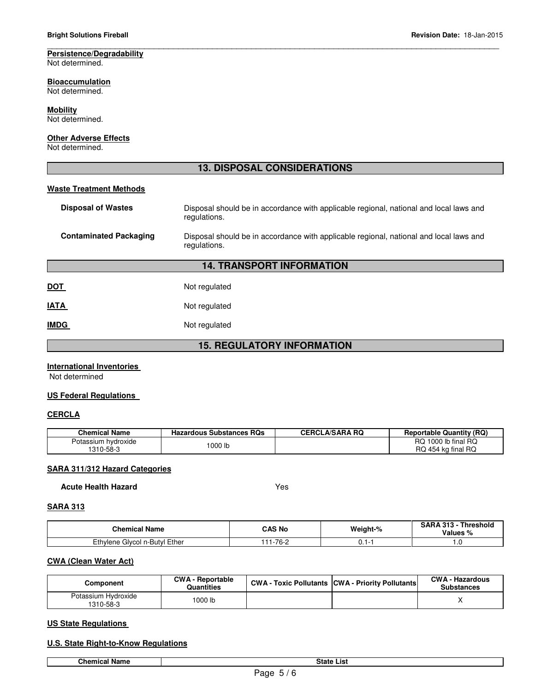#### \_\_\_\_\_\_\_\_\_\_\_\_\_\_\_\_\_\_\_\_\_\_\_\_\_\_\_\_\_\_\_\_\_\_\_\_\_\_\_\_\_\_\_\_\_\_\_\_\_\_\_\_\_\_\_\_\_\_\_\_\_\_\_\_\_\_\_\_\_\_\_\_\_\_\_\_\_\_\_\_\_\_\_\_\_\_\_\_\_\_\_\_\_ **Persistence/Degradability**

Not determined.

### **Bioaccumulation**

Not determined.

#### **Mobility**

Not determined.

#### **Other Adverse Effects**

Not determined.

### **13. DISPOSAL CONSIDERATIONS**

#### **Waste Treatment Methods**

| <b>Disposal of Wastes</b>         | Disposal should be in accordance with applicable regional, national and local laws and<br>regulations. |  |  |
|-----------------------------------|--------------------------------------------------------------------------------------------------------|--|--|
| <b>Contaminated Packaging</b>     | Disposal should be in accordance with applicable regional, national and local laws and<br>regulations. |  |  |
| <b>14. TRANSPORT INFORMATION</b>  |                                                                                                        |  |  |
| DOT                               | Not regulated                                                                                          |  |  |
| <b>IATA</b>                       | Not regulated                                                                                          |  |  |
| <b>IMDG</b>                       | Not regulated                                                                                          |  |  |
| <b>15. REGULATORY INFORMATION</b> |                                                                                                        |  |  |

#### **International Inventories**

Not determined

#### **US Federal Regulations**

#### **CERCLA**

| <b>Chemical Name</b>             | <b>Hazardous Substances RQs</b> | <b>CERCLA/SARA RQ</b> | <b>Reportable Quantity (RQ)</b>           |
|----------------------------------|---------------------------------|-----------------------|-------------------------------------------|
| Potassium hydroxide<br>1310-58-3 | 1000 lb                         |                       | RQ 1000 lb final RQ<br>RQ 454 kg final RQ |

#### **SARA 311/312 Hazard Categories**

**Acute Health Hazard** Yes

#### **SARA 313**

| <b>Chemical Name</b>               | CAS No    | Weight-% | $3ARA313 -$<br><b>Threshold</b><br>Values % |
|------------------------------------|-----------|----------|---------------------------------------------|
| l Ether<br>Ethylene Glycol n-Butyl | ے۔76<br>. | ບ. ເ     | $\cdot\cdot$                                |

#### **CWA (Clean Water Act)**

| Component                        | <b>CWA - Reportable</b><br><b>Quantities</b> | <b>CWA - Toxic Pollutants CWA - Priority Pollutants</b> | <b>CWA - Hazardous</b><br><b>Substances</b> |
|----------------------------------|----------------------------------------------|---------------------------------------------------------|---------------------------------------------|
| Potassium Hydroxide<br>1310-58-3 | 1000 lb                                      |                                                         |                                             |

#### **US State Regulations**

#### **U.S. State Right-to-Know Regulations**

**Chemical Name State List**